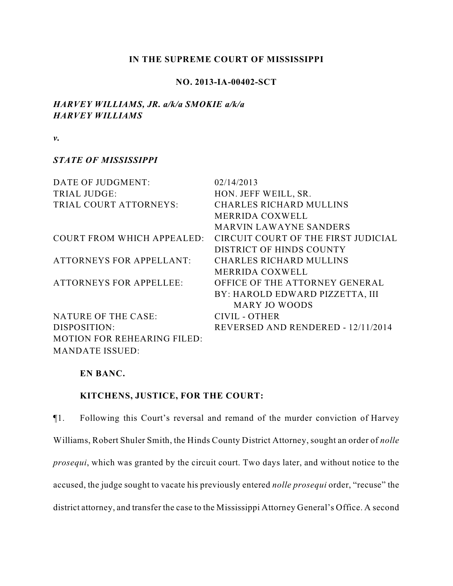## **IN THE SUPREME COURT OF MISSISSIPPI**

## **NO. 2013-IA-00402-SCT**

## *HARVEY WILLIAMS, JR. a/k/a SMOKIE a/k/a HARVEY WILLIAMS*

*v.*

## *STATE OF MISSISSIPPI*

| DATE OF JUDGMENT:                  | 02/14/2013                          |
|------------------------------------|-------------------------------------|
| TRIAL JUDGE:                       | HON. JEFF WEILL, SR.                |
| TRIAL COURT ATTORNEYS:             | <b>CHARLES RICHARD MULLINS</b>      |
|                                    | <b>MERRIDA COXWELL</b>              |
|                                    | <b>MARVIN LAWAYNE SANDERS</b>       |
| <b>COURT FROM WHICH APPEALED:</b>  | CIRCUIT COURT OF THE FIRST JUDICIAL |
|                                    | DISTRICT OF HINDS COUNTY            |
| <b>ATTORNEYS FOR APPELLANT:</b>    | <b>CHARLES RICHARD MULLINS</b>      |
|                                    | MERRIDA COXWELL                     |
| <b>ATTORNEYS FOR APPELLEE:</b>     | OFFICE OF THE ATTORNEY GENERAL      |
|                                    | BY: HAROLD EDWARD PIZZETTA, III     |
|                                    | <b>MARY JO WOODS</b>                |
| NATURE OF THE CASE:                | CIVIL - OTHER                       |
| DISPOSITION:                       | REVERSED AND RENDERED - 12/11/2014  |
| <b>MOTION FOR REHEARING FILED:</b> |                                     |
| <b>MANDATE ISSUED:</b>             |                                     |

## **EN BANC.**

# **KITCHENS, JUSTICE, FOR THE COURT:**

¶1. Following this Court's reversal and remand of the murder conviction of Harvey Williams, Robert Shuler Smith, the Hinds County District Attorney, sought an order of *nolle prosequi*, which was granted by the circuit court. Two days later, and without notice to the accused, the judge sought to vacate his previously entered *nolle prosequi* order, "recuse" the district attorney, and transfer the case to the Mississippi Attorney General's Office. A second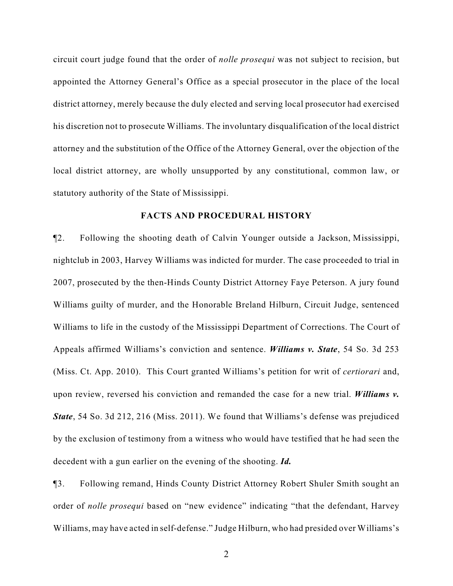circuit court judge found that the order of *nolle prosequi* was not subject to recision, but appointed the Attorney General's Office as a special prosecutor in the place of the local district attorney, merely because the duly elected and serving local prosecutor had exercised his discretion not to prosecute Williams. The involuntary disqualification of the local district attorney and the substitution of the Office of the Attorney General, over the objection of the local district attorney, are wholly unsupported by any constitutional, common law, or statutory authority of the State of Mississippi.

## **FACTS AND PROCEDURAL HISTORY**

¶2. Following the shooting death of Calvin Younger outside a Jackson, Mississippi, nightclub in 2003, Harvey Williams was indicted for murder. The case proceeded to trial in 2007, prosecuted by the then-Hinds County District Attorney Faye Peterson. A jury found Williams guilty of murder, and the Honorable Breland Hilburn, Circuit Judge, sentenced Williams to life in the custody of the Mississippi Department of Corrections. The Court of Appeals affirmed Williams's conviction and sentence. *Williams v. State*, 54 So. 3d 253 (Miss. Ct. App. 2010). This Court granted Williams's petition for writ of *certiorari* and, upon review, reversed his conviction and remanded the case for a new trial. *Williams v. State*, 54 So. 3d 212, 216 (Miss. 2011). We found that Williams's defense was prejudiced by the exclusion of testimony from a witness who would have testified that he had seen the decedent with a gun earlier on the evening of the shooting. *Id.*

¶3. Following remand, Hinds County District Attorney Robert Shuler Smith sought an order of *nolle prosequi* based on "new evidence" indicating "that the defendant, Harvey Williams, may have acted in self-defense." Judge Hilburn, who had presided over Williams's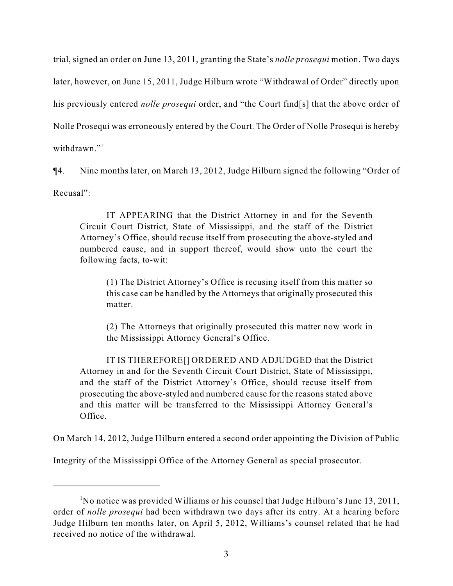trial, signed an order on June 13, 2011, granting the State's *nolle prosequi* motion. Two days later, however, on June 15, 2011, Judge Hilburn wrote "Withdrawal of Order" directly upon his previously entered *nolle prosequi* order, and "the Court find[s] that the above order of Nolle Prosequi was erroneously entered by the Court. The Order of Nolle Prosequi is hereby withdrawn."<sup>1</sup>

¶4. Nine months later, on March 13, 2012, Judge Hilburn signed the following "Order of Recusal":

IT APPEARING that the District Attorney in and for the Seventh Circuit Court District, State of Mississippi, and the staff of the District Attorney's Office, should recuse itself from prosecuting the above-styled and numbered cause, and in support thereof, would show unto the court the following facts, to-wit:

(1) The District Attorney's Office is recusing itself from this matter so this case can be handled by the Attorneys that originally prosecuted this matter.

(2) The Attorneys that originally prosecuted this matter now work in the Mississippi Attorney General's Office.

IT IS THEREFORE[] ORDERED AND ADJUDGED that the District Attorney in and for the Seventh Circuit Court District, State of Mississippi, and the staff of the District Attorney's Office, should recuse itself from prosecuting the above-styled and numbered cause for the reasons stated above and this matter will be transferred to the Mississippi Attorney General's Office.

On March 14, 2012, Judge Hilburn entered a second order appointing the Division of Public

Integrity of the Mississippi Office of the Attorney General as special prosecutor.

 $\rm N$ o notice was provided Williams or his counsel that Judge Hilburn's June 13, 2011, order of *nolle prosequi* had been withdrawn two days after its entry. At a hearing before Judge Hilburn ten months later, on April 5, 2012, Williams's counsel related that he had received no notice of the withdrawal.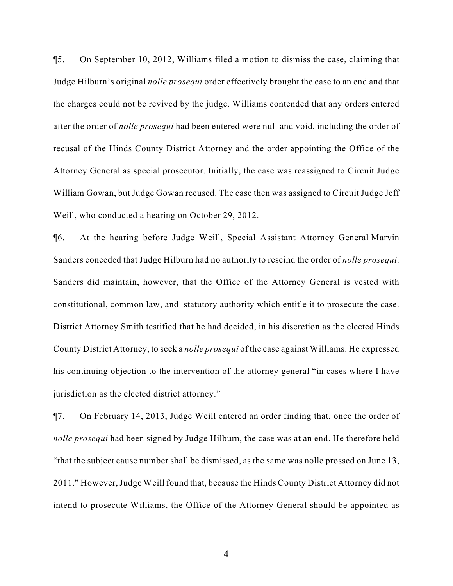¶5. On September 10, 2012, Williams filed a motion to dismiss the case, claiming that Judge Hilburn's original *nolle prosequi* order effectively brought the case to an end and that the charges could not be revived by the judge. Williams contended that any orders entered after the order of *nolle prosequi* had been entered were null and void, including the order of recusal of the Hinds County District Attorney and the order appointing the Office of the Attorney General as special prosecutor. Initially, the case was reassigned to Circuit Judge William Gowan, but Judge Gowan recused. The case then was assigned to Circuit Judge Jeff Weill, who conducted a hearing on October 29, 2012.

¶6. At the hearing before Judge Weill, Special Assistant Attorney General Marvin Sanders conceded that Judge Hilburn had no authority to rescind the order of *nolle prosequi*. Sanders did maintain, however, that the Office of the Attorney General is vested with constitutional, common law, and statutory authority which entitle it to prosecute the case. District Attorney Smith testified that he had decided, in his discretion as the elected Hinds County District Attorney, to seek a *nolle prosequi* of the case against Williams. He expressed his continuing objection to the intervention of the attorney general "in cases where I have jurisdiction as the elected district attorney."

¶7. On February 14, 2013, Judge Weill entered an order finding that, once the order of *nolle prosequi* had been signed by Judge Hilburn, the case was at an end. He therefore held "that the subject cause number shall be dismissed, as the same was nolle prossed on June 13, 2011." However, Judge Weill found that, because the Hinds County District Attorney did not intend to prosecute Williams, the Office of the Attorney General should be appointed as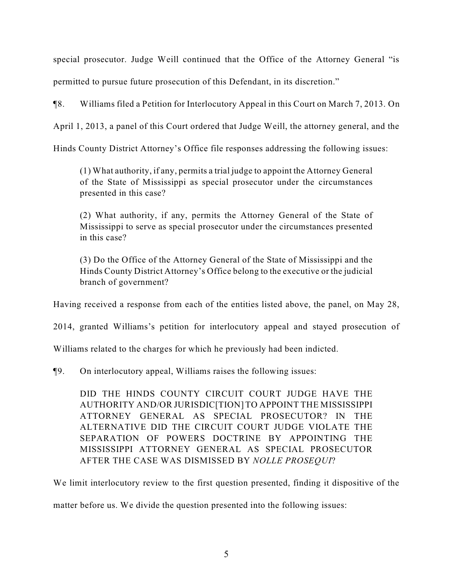special prosecutor. Judge Weill continued that the Office of the Attorney General "is permitted to pursue future prosecution of this Defendant, in its discretion."

¶8. Williams filed a Petition for Interlocutory Appeal in this Court on March 7, 2013. On

April 1, 2013, a panel of this Court ordered that Judge Weill, the attorney general, and the

Hinds County District Attorney's Office file responses addressing the following issues:

(1) What authority, if any, permits a trial judge to appoint the Attorney General of the State of Mississippi as special prosecutor under the circumstances presented in this case?

(2) What authority, if any, permits the Attorney General of the State of Mississippi to serve as special prosecutor under the circumstances presented in this case?

(3) Do the Office of the Attorney General of the State of Mississippi and the Hinds County District Attorney's Office belong to the executive or the judicial branch of government?

Having received a response from each of the entities listed above, the panel, on May 28,

2014, granted Williams's petition for interlocutory appeal and stayed prosecution of

Williams related to the charges for which he previously had been indicted.

¶9. On interlocutory appeal, Williams raises the following issues:

DID THE HINDS COUNTY CIRCUIT COURT JUDGE HAVE THE AUTHORITY AND/OR JURISDIC[TION] TO APPOINT THE MISSISSIPPI ATTORNEY GENERAL AS SPECIAL PROSECUTOR? IN THE ALTERNATIVE DID THE CIRCUIT COURT JUDGE VIOLATE THE SEPARATION OF POWERS DOCTRINE BY APPOINTING THE MISSISSIPPI ATTORNEY GENERAL AS SPECIAL PROSECUTOR AFTER THE CASE WAS DISMISSED BY *NOLLE PROSEQUI*?

We limit interlocutory review to the first question presented, finding it dispositive of the

matter before us. We divide the question presented into the following issues: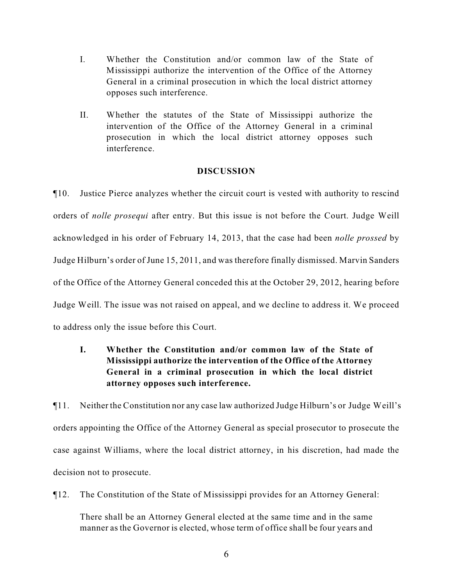- I. Whether the Constitution and/or common law of the State of Mississippi authorize the intervention of the Office of the Attorney General in a criminal prosecution in which the local district attorney opposes such interference.
- II. Whether the statutes of the State of Mississippi authorize the intervention of the Office of the Attorney General in a criminal prosecution in which the local district attorney opposes such interference.

## **DISCUSSION**

¶10. Justice Pierce analyzes whether the circuit court is vested with authority to rescind orders of *nolle prosequi* after entry. But this issue is not before the Court. Judge Weill acknowledged in his order of February 14, 2013, that the case had been *nolle prossed* by Judge Hilburn's order of June 15, 2011, and was therefore finally dismissed. Marvin Sanders of the Office of the Attorney General conceded this at the October 29, 2012, hearing before Judge Weill. The issue was not raised on appeal, and we decline to address it. We proceed to address only the issue before this Court.

**I. Whether the Constitution and/or common law of the State of Mississippi authorize the intervention of the Office of the Attorney General in a criminal prosecution in which the local district attorney opposes such interference.**

¶11. Neither the Constitution nor any case law authorized Judge Hilburn's or Judge Weill's orders appointing the Office of the Attorney General as special prosecutor to prosecute the case against Williams, where the local district attorney, in his discretion, had made the decision not to prosecute.

¶12. The Constitution of the State of Mississippi provides for an Attorney General:

There shall be an Attorney General elected at the same time and in the same manner as the Governor is elected, whose term of office shall be four years and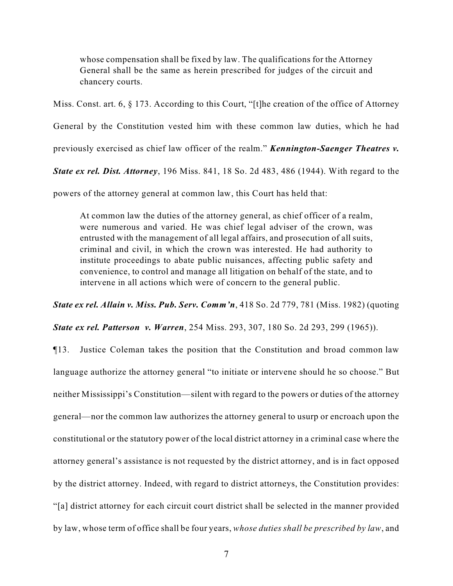whose compensation shall be fixed by law. The qualifications for the Attorney General shall be the same as herein prescribed for judges of the circuit and chancery courts.

Miss. Const. art. 6, § 173. According to this Court, "[t]he creation of the office of Attorney General by the Constitution vested him with these common law duties, which he had previously exercised as chief law officer of the realm." *Kennington-Saenger Theatres v. State ex rel. Dist. Attorney*, 196 Miss. 841, 18 So. 2d 483, 486 (1944). With regard to the

powers of the attorney general at common law, this Court has held that:

At common law the duties of the attorney general, as chief officer of a realm, were numerous and varied. He was chief legal adviser of the crown, was entrusted with the management of all legal affairs, and prosecution of all suits, criminal and civil, in which the crown was interested. He had authority to institute proceedings to abate public nuisances, affecting public safety and convenience, to control and manage all litigation on behalf of the state, and to intervene in all actions which were of concern to the general public.

*State ex rel. Allain v. Miss. Pub. Serv. Comm'n*, 418 So. 2d 779, 781 (Miss. 1982) (quoting

*State ex rel. Patterson v. Warren*, 254 Miss. 293, 307, 180 So. 2d 293, 299 (1965)).

¶13. Justice Coleman takes the position that the Constitution and broad common law language authorize the attorney general "to initiate or intervene should he so choose." But neither Mississippi's Constitution—silent with regard to the powers or duties of the attorney general—nor the common law authorizes the attorney general to usurp or encroach upon the constitutional or the statutory power of the local district attorney in a criminal case where the attorney general's assistance is not requested by the district attorney, and is in fact opposed by the district attorney. Indeed, with regard to district attorneys, the Constitution provides: "[a] district attorney for each circuit court district shall be selected in the manner provided by law, whose term of office shall be four years, *whose duties shall be prescribed by law*, and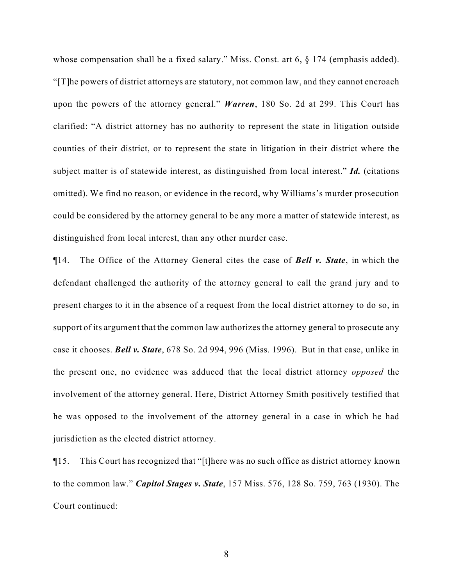whose compensation shall be a fixed salary." Miss. Const. art 6, § 174 (emphasis added). "[T]he powers of district attorneys are statutory, not common law, and they cannot encroach upon the powers of the attorney general." *Warren*, 180 So. 2d at 299. This Court has clarified: "A district attorney has no authority to represent the state in litigation outside counties of their district, or to represent the state in litigation in their district where the subject matter is of statewide interest, as distinguished from local interest." *Id.* (citations omitted). We find no reason, or evidence in the record, why Williams's murder prosecution could be considered by the attorney general to be any more a matter of statewide interest, as distinguished from local interest, than any other murder case.

¶14. The Office of the Attorney General cites the case of *Bell v. State*, in which the defendant challenged the authority of the attorney general to call the grand jury and to present charges to it in the absence of a request from the local district attorney to do so, in support of its argument that the common law authorizes the attorney general to prosecute any case it chooses. *Bell v. State*, 678 So. 2d 994, 996 (Miss. 1996). But in that case, unlike in the present one, no evidence was adduced that the local district attorney *opposed* the involvement of the attorney general. Here, District Attorney Smith positively testified that he was opposed to the involvement of the attorney general in a case in which he had jurisdiction as the elected district attorney.

¶15. This Court has recognized that "[t]here was no such office as district attorney known to the common law." *Capitol Stages v. State*, 157 Miss. 576, 128 So. 759, 763 (1930). The Court continued: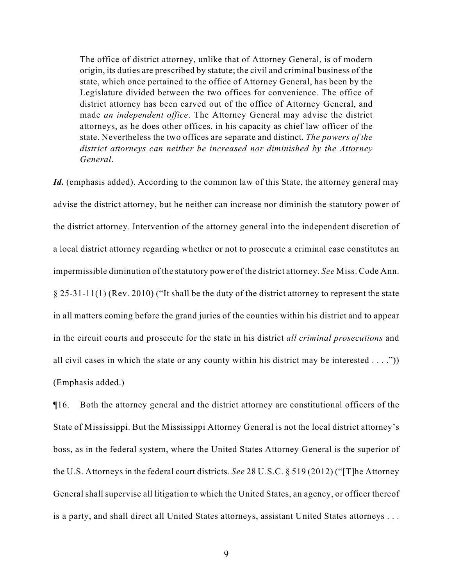The office of district attorney, unlike that of Attorney General, is of modern origin, its duties are prescribed by statute; the civil and criminal business of the state, which once pertained to the office of Attorney General, has been by the Legislature divided between the two offices for convenience. The office of district attorney has been carved out of the office of Attorney General, and made *an independent office*. The Attorney General may advise the district attorneys, as he does other offices, in his capacity as chief law officer of the state. Nevertheless the two offices are separate and distinct. *The powers of the district attorneys can neither be increased nor diminished by the Attorney General*.

Id. (emphasis added). According to the common law of this State, the attorney general may advise the district attorney, but he neither can increase nor diminish the statutory power of the district attorney. Intervention of the attorney general into the independent discretion of a local district attorney regarding whether or not to prosecute a criminal case constitutes an impermissible diminution of the statutory power of the district attorney. *See* Miss. Code Ann. § 25-31-11(1) (Rev. 2010) ("It shall be the duty of the district attorney to represent the state in all matters coming before the grand juries of the counties within his district and to appear in the circuit courts and prosecute for the state in his district *all criminal prosecutions* and all civil cases in which the state or any county within his district may be interested  $\dots$ .") (Emphasis added.)

¶16. Both the attorney general and the district attorney are constitutional officers of the State of Mississippi. But the Mississippi Attorney General is not the local district attorney's boss, as in the federal system, where the United States Attorney General is the superior of the U.S. Attorneys in the federal court districts. *See* 28 U.S.C. § 519 (2012) ("[T]he Attorney General shall supervise all litigation to which the United States, an agency, or officer thereof is a party, and shall direct all United States attorneys, assistant United States attorneys . . .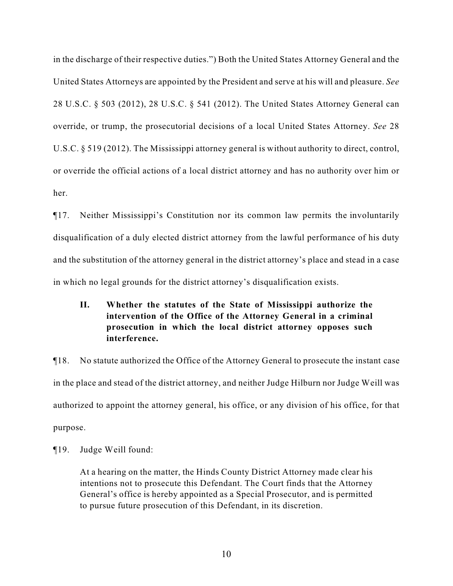in the discharge of their respective duties.") Both the United States Attorney General and the United States Attorneys are appointed by the President and serve at his will and pleasure. *See* 28 U.S.C. § 503 (2012), 28 U.S.C. § 541 (2012). The United States Attorney General can override, or trump, the prosecutorial decisions of a local United States Attorney. *See* 28 U.S.C. § 519 (2012). The Mississippi attorney general is without authority to direct, control, or override the official actions of a local district attorney and has no authority over him or her.

¶17. Neither Mississippi's Constitution nor its common law permits the involuntarily disqualification of a duly elected district attorney from the lawful performance of his duty and the substitution of the attorney general in the district attorney's place and stead in a case in which no legal grounds for the district attorney's disqualification exists.

# **II. Whether the statutes of the State of Mississippi authorize the intervention of the Office of the Attorney General in a criminal prosecution in which the local district attorney opposes such interference.**

¶18. No statute authorized the Office of the Attorney General to prosecute the instant case in the place and stead of the district attorney, and neither Judge Hilburn nor Judge Weill was authorized to appoint the attorney general, his office, or any division of his office, for that purpose.

¶19. Judge Weill found:

At a hearing on the matter, the Hinds County District Attorney made clear his intentions not to prosecute this Defendant. The Court finds that the Attorney General's office is hereby appointed as a Special Prosecutor, and is permitted to pursue future prosecution of this Defendant, in its discretion.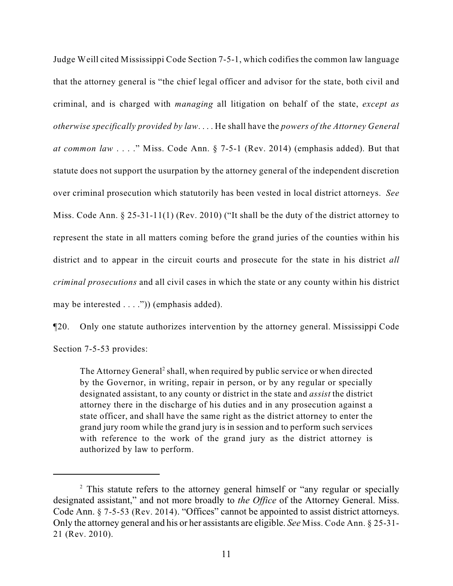Judge Weill cited Mississippi Code Section 7-5-1, which codifies the common law language that the attorney general is "the chief legal officer and advisor for the state, both civil and criminal, and is charged with *managing* all litigation on behalf of the state, *except as otherwise specifically provided by law*. . . . He shall have the *powers of the Attorney General at common law* . . . ." Miss. Code Ann. § 7-5-1 (Rev. 2014) (emphasis added). But that statute does not support the usurpation by the attorney general of the independent discretion over criminal prosecution which statutorily has been vested in local district attorneys. *See* Miss. Code Ann. § 25-31-11(1) (Rev. 2010) ("It shall be the duty of the district attorney to represent the state in all matters coming before the grand juries of the counties within his district and to appear in the circuit courts and prosecute for the state in his district *all criminal prosecutions* and all civil cases in which the state or any county within his district may be interested . . . .")) (emphasis added).

¶20. Only one statute authorizes intervention by the attorney general. Mississippi Code Section 7-5-53 provides:

The Attorney General<sup>2</sup> shall, when required by public service or when directed by the Governor, in writing, repair in person, or by any regular or specially designated assistant, to any county or district in the state and *assist* the district attorney there in the discharge of his duties and in any prosecution against a state officer, and shall have the same right as the district attorney to enter the grand jury room while the grand jury is in session and to perform such services with reference to the work of the grand jury as the district attorney is authorized by law to perform.

 $\alpha$ <sup>2</sup> This statute refers to the attorney general himself or "any regular or specially designated assistant," and not more broadly to *the Office* of the Attorney General. Miss. Code Ann. § 7-5-53 (Rev. 2014). "Offices" cannot be appointed to assist district attorneys. Only the attorney general and his or her assistants are eligible. *See* Miss. Code Ann. § 25-31- 21 (Rev. 2010).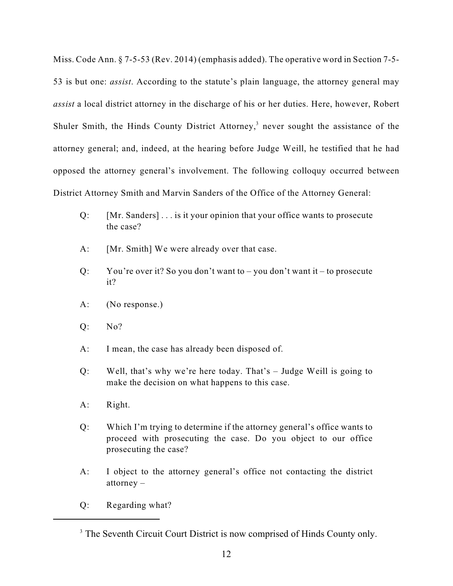Miss. Code Ann. § 7-5-53 (Rev. 2014) (emphasis added). The operative word in Section 7-5- 53 is but one: *assist*. According to the statute's plain language, the attorney general may *assist* a local district attorney in the discharge of his or her duties. Here, however, Robert Shuler Smith, the Hinds County District Attorney,<sup>3</sup> never sought the assistance of the attorney general; and, indeed, at the hearing before Judge Weill, he testified that he had opposed the attorney general's involvement. The following colloquy occurred between District Attorney Smith and Marvin Sanders of the Office of the Attorney General:

- Q: [Mr. Sanders] . . . is it your opinion that your office wants to prosecute the case?
- A: [Mr. Smith] We were already over that case.
- Q: You're over it? So you don't want to you don't want it to prosecute it?
- A: (No response.)
- Q: No?
- A: I mean, the case has already been disposed of.
- Q: Well, that's why we're here today. That's Judge Weill is going to make the decision on what happens to this case.
- A: Right.
- Q: Which I'm trying to determine if the attorney general's office wants to proceed with prosecuting the case. Do you object to our office prosecuting the case?
- A: I object to the attorney general's office not contacting the district attorney –
- Q: Regarding what?

<sup>&</sup>lt;sup>3</sup> The Seventh Circuit Court District is now comprised of Hinds County only.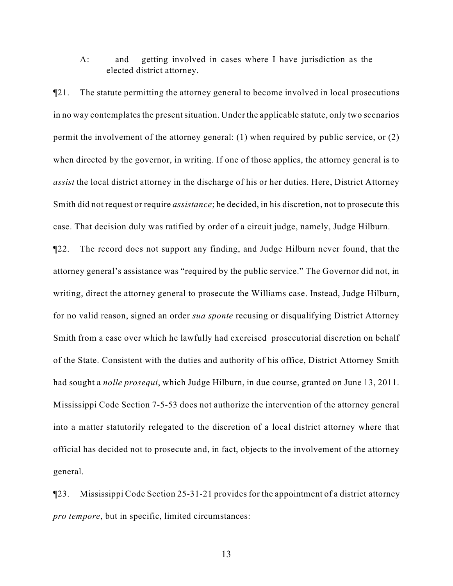A: – and – getting involved in cases where I have jurisdiction as the elected district attorney.

¶21. The statute permitting the attorney general to become involved in local prosecutions in no way contemplates the present situation. Under the applicable statute, only two scenarios permit the involvement of the attorney general: (1) when required by public service, or (2) when directed by the governor, in writing. If one of those applies, the attorney general is to *assist* the local district attorney in the discharge of his or her duties. Here, District Attorney Smith did not request or require *assistance*; he decided, in his discretion, not to prosecute this case. That decision duly was ratified by order of a circuit judge, namely, Judge Hilburn.

¶22. The record does not support any finding, and Judge Hilburn never found, that the attorney general's assistance was "required by the public service." The Governor did not, in writing, direct the attorney general to prosecute the Williams case. Instead, Judge Hilburn, for no valid reason, signed an order *sua sponte* recusing or disqualifying District Attorney Smith from a case over which he lawfully had exercised prosecutorial discretion on behalf of the State. Consistent with the duties and authority of his office, District Attorney Smith had sought a *nolle prosequi*, which Judge Hilburn, in due course, granted on June 13, 2011. Mississippi Code Section 7-5-53 does not authorize the intervention of the attorney general into a matter statutorily relegated to the discretion of a local district attorney where that official has decided not to prosecute and, in fact, objects to the involvement of the attorney general.

¶23. Mississippi Code Section 25-31-21 provides for the appointment of a district attorney *pro tempore*, but in specific, limited circumstances: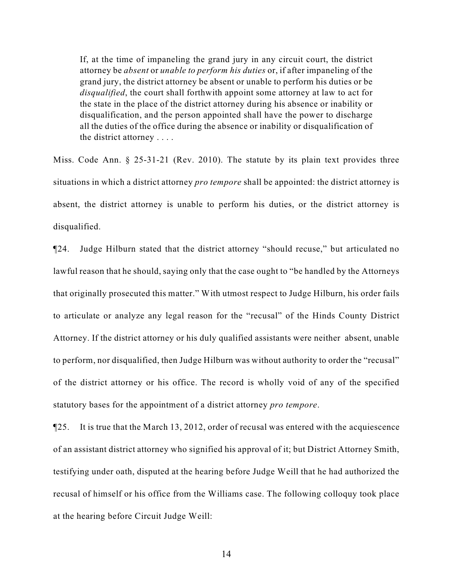If, at the time of impaneling the grand jury in any circuit court, the district attorney be *absent* or *unable to perform his duties* or, if after impaneling of the grand jury, the district attorney be absent or unable to perform his duties or be *disqualified*, the court shall forthwith appoint some attorney at law to act for the state in the place of the district attorney during his absence or inability or disqualification, and the person appointed shall have the power to discharge all the duties of the office during the absence or inability or disqualification of the district attorney . . . .

Miss. Code Ann. § 25-31-21 (Rev. 2010). The statute by its plain text provides three situations in which a district attorney *pro tempore* shall be appointed: the district attorney is absent, the district attorney is unable to perform his duties, or the district attorney is disqualified.

¶24. Judge Hilburn stated that the district attorney "should recuse," but articulated no lawful reason that he should, saying only that the case ought to "be handled by the Attorneys that originally prosecuted this matter." With utmost respect to Judge Hilburn, his order fails to articulate or analyze any legal reason for the "recusal" of the Hinds County District Attorney. If the district attorney or his duly qualified assistants were neither absent, unable to perform, nor disqualified, then Judge Hilburn was without authority to order the "recusal" of the district attorney or his office. The record is wholly void of any of the specified statutory bases for the appointment of a district attorney *pro tempore*.

¶25. It is true that the March 13, 2012, order of recusal was entered with the acquiescence of an assistant district attorney who signified his approval of it; but District Attorney Smith, testifying under oath, disputed at the hearing before Judge Weill that he had authorized the recusal of himself or his office from the Williams case. The following colloquy took place at the hearing before Circuit Judge Weill: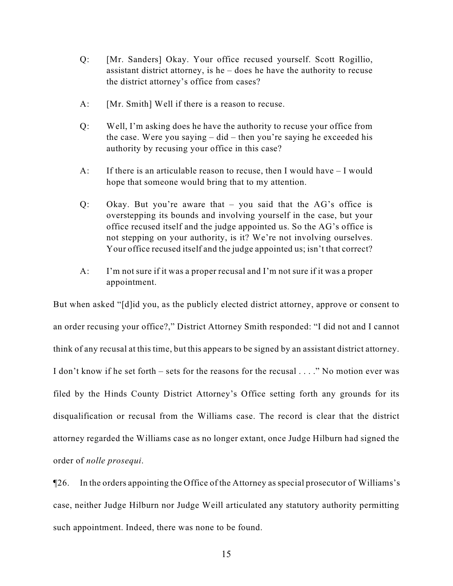- Q: [Mr. Sanders] Okay. Your office recused yourself. Scott Rogillio, assistant district attorney, is he – does he have the authority to recuse the district attorney's office from cases?
- A: [Mr. Smith] Well if there is a reason to recuse.
- Q: Well, I'm asking does he have the authority to recuse your office from the case. Were you saying – did – then you're saying he exceeded his authority by recusing your office in this case?
- A: If there is an articulable reason to recuse, then I would have I would hope that someone would bring that to my attention.
- Q: Okay. But you're aware that you said that the AG's office is overstepping its bounds and involving yourself in the case, but your office recused itself and the judge appointed us. So the AG's office is not stepping on your authority, is it? We're not involving ourselves. Your office recused itself and the judge appointed us; isn't that correct?
- A: I'm not sure if it was a proper recusal and I'm not sure if it was a proper appointment.

But when asked "[d]id you, as the publicly elected district attorney, approve or consent to an order recusing your office?," District Attorney Smith responded: "I did not and I cannot think of any recusal at this time, but this appears to be signed by an assistant district attorney. I don't know if he set forth – sets for the reasons for the recusal  $\ldots$ ." No motion ever was filed by the Hinds County District Attorney's Office setting forth any grounds for its disqualification or recusal from the Williams case. The record is clear that the district attorney regarded the Williams case as no longer extant, once Judge Hilburn had signed the order of *nolle prosequi*.

¶26. In the orders appointing the Office of the Attorney as special prosecutor of Williams's case, neither Judge Hilburn nor Judge Weill articulated any statutory authority permitting such appointment. Indeed, there was none to be found.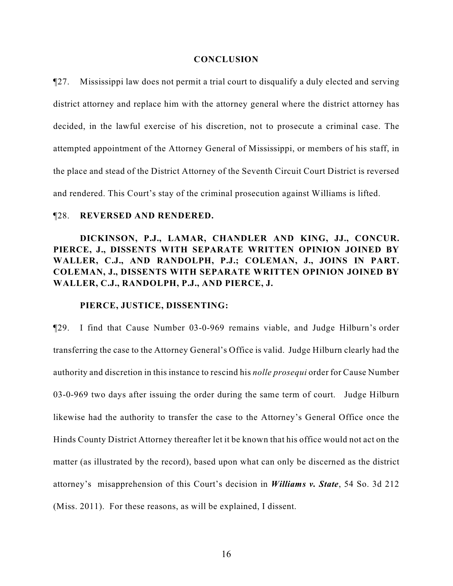#### **CONCLUSION**

¶27. Mississippi law does not permit a trial court to disqualify a duly elected and serving district attorney and replace him with the attorney general where the district attorney has decided, in the lawful exercise of his discretion, not to prosecute a criminal case. The attempted appointment of the Attorney General of Mississippi, or members of his staff, in the place and stead of the District Attorney of the Seventh Circuit Court District is reversed and rendered. This Court's stay of the criminal prosecution against Williams is lifted.

## ¶28. **REVERSED AND RENDERED.**

# **DICKINSON, P.J., LAMAR, CHANDLER AND KING, JJ., CONCUR. PIERCE, J., DISSENTS WITH SEPARATE WRITTEN OPINION JOINED BY WALLER, C.J., AND RANDOLPH, P.J.; COLEMAN, J., JOINS IN PART. COLEMAN, J., DISSENTS WITH SEPARATE WRITTEN OPINION JOINED BY WALLER, C.J., RANDOLPH, P.J., AND PIERCE, J.**

## **PIERCE, JUSTICE, DISSENTING:**

¶29. I find that Cause Number 03-0-969 remains viable, and Judge Hilburn's order transferring the case to the Attorney General's Office is valid. Judge Hilburn clearly had the authority and discretion in this instance to rescind his *nolle prosequi* order for Cause Number 03-0-969 two days after issuing the order during the same term of court. Judge Hilburn likewise had the authority to transfer the case to the Attorney's General Office once the Hinds County District Attorney thereafter let it be known that his office would not act on the matter (as illustrated by the record), based upon what can only be discerned as the district attorney's misapprehension of this Court's decision in *Williams v. State*, 54 So. 3d 212 (Miss. 2011). For these reasons, as will be explained, I dissent.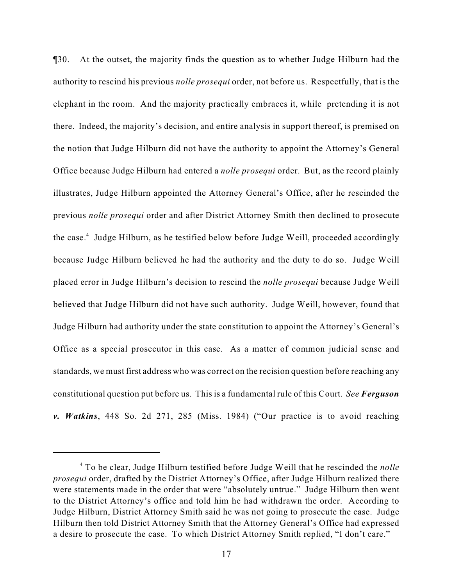¶30. At the outset, the majority finds the question as to whether Judge Hilburn had the authority to rescind his previous *nolle prosequi* order, not before us. Respectfully, that is the elephant in the room. And the majority practically embraces it, while pretending it is not there. Indeed, the majority's decision, and entire analysis in support thereof, is premised on the notion that Judge Hilburn did not have the authority to appoint the Attorney's General Office because Judge Hilburn had entered a *nolle prosequi* order. But, as the record plainly illustrates, Judge Hilburn appointed the Attorney General's Office, after he rescinded the previous *nolle prosequi* order and after District Attorney Smith then declined to prosecute the case.<sup>4</sup> Judge Hilburn, as he testified below before Judge Weill, proceeded accordingly because Judge Hilburn believed he had the authority and the duty to do so. Judge Weill placed error in Judge Hilburn's decision to rescind the *nolle prosequi* because Judge Weill believed that Judge Hilburn did not have such authority. Judge Weill, however, found that Judge Hilburn had authority under the state constitution to appoint the Attorney's General's Office as a special prosecutor in this case. As a matter of common judicial sense and standards, we must first address who was correct on the recision question before reaching any constitutional question put before us. This is a fundamental rule of this Court. *See Ferguson v. Watkins*, 448 So. 2d 271, 285 (Miss. 1984) ("Our practice is to avoid reaching

To be clear, Judge Hilburn testified before Judge Weill that he rescinded the *nolle* <sup>4</sup> *prosequi* order, drafted by the District Attorney's Office, after Judge Hilburn realized there were statements made in the order that were "absolutely untrue." Judge Hilburn then went to the District Attorney's office and told him he had withdrawn the order. According to Judge Hilburn, District Attorney Smith said he was not going to prosecute the case. Judge Hilburn then told District Attorney Smith that the Attorney General's Office had expressed a desire to prosecute the case. To which District Attorney Smith replied, "I don't care."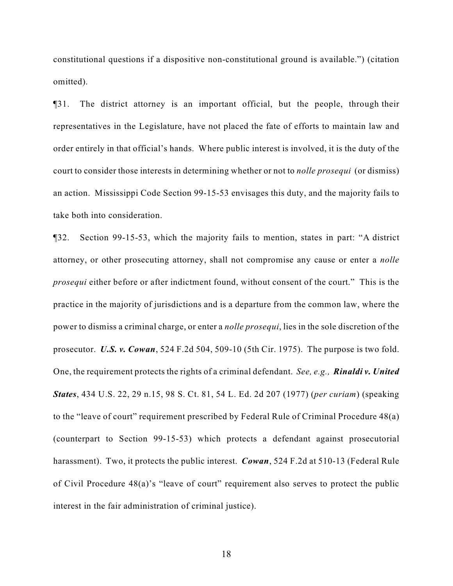constitutional questions if a dispositive non-constitutional ground is available.") (citation omitted).

¶31. The district attorney is an important official, but the people, through their representatives in the Legislature, have not placed the fate of efforts to maintain law and order entirely in that official's hands. Where public interest is involved, it is the duty of the court to consider those interests in determining whether or not to *nolle prosequi* (or dismiss) an action. Mississippi Code Section 99-15-53 envisages this duty, and the majority fails to take both into consideration.

¶32. Section 99-15-53, which the majority fails to mention, states in part: "A district attorney, or other prosecuting attorney, shall not compromise any cause or enter a *nolle prosequi* either before or after indictment found, without consent of the court." This is the practice in the majority of jurisdictions and is a departure from the common law, where the power to dismiss a criminal charge, or enter a *nolle prosequi*, lies in the sole discretion of the prosecutor. *U.S. v. Cowan*, 524 F.2d 504, 509-10 (5th Cir. 1975). The purpose is two fold. One, the requirement protects the rights of a criminal defendant. *See, e.g., Rinaldi v. United States*, 434 U.S. 22, 29 n.15, 98 S. Ct. 81, 54 L. Ed. 2d 207 (1977) (*per curiam*) (speaking to the "leave of court" requirement prescribed by Federal Rule of Criminal Procedure 48(a) (counterpart to Section 99-15-53) which protects a defendant against prosecutorial harassment). Two, it protects the public interest. *Cowan*, 524 F.2d at 510-13 (Federal Rule of Civil Procedure 48(a)'s "leave of court" requirement also serves to protect the public interest in the fair administration of criminal justice).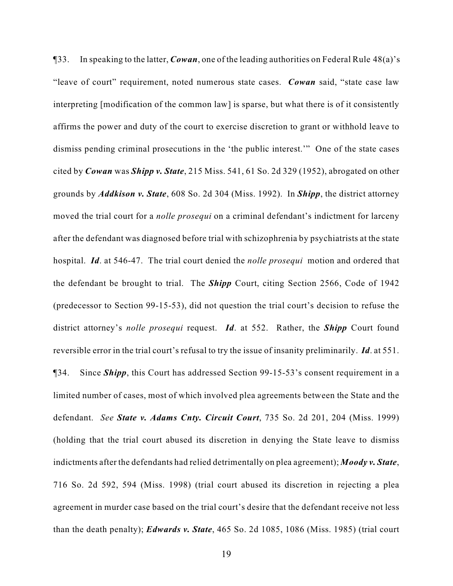¶33. In speaking to the latter, *Cowan*, one of the leading authorities on Federal Rule 48(a)'s "leave of court" requirement, noted numerous state cases. *Cowan* said, "state case law interpreting [modification of the common law] is sparse, but what there is of it consistently affirms the power and duty of the court to exercise discretion to grant or withhold leave to dismiss pending criminal prosecutions in the 'the public interest.'" One of the state cases cited by *Cowan* was *Shipp v. State*, 215 Miss. 541, 61 So. 2d 329 (1952), abrogated on other grounds by *Addkison v. State*, 608 So. 2d 304 (Miss. 1992). In *Shipp*, the district attorney moved the trial court for a *nolle prosequi* on a criminal defendant's indictment for larceny after the defendant was diagnosed before trial with schizophrenia by psychiatrists at the state hospital. *Id*. at 546-47. The trial court denied the *nolle prosequi* motion and ordered that the defendant be brought to trial. The *Shipp* Court, citing Section 2566, Code of 1942 (predecessor to Section 99-15-53), did not question the trial court's decision to refuse the district attorney's *nolle prosequi* request. *Id*. at 552. Rather, the *Shipp* Court found reversible error in the trial court's refusal to try the issue of insanity preliminarily. *Id*. at 551. ¶34. Since *Shipp*, this Court has addressed Section 99-15-53's consent requirement in a limited number of cases, most of which involved plea agreements between the State and the defendant. *See State v. Adams Cnty. Circuit Court*, 735 So. 2d 201, 204 (Miss. 1999) (holding that the trial court abused its discretion in denying the State leave to dismiss indictments after the defendants had relied detrimentally on plea agreement); *Moody v. State*, 716 So. 2d 592, 594 (Miss. 1998) (trial court abused its discretion in rejecting a plea agreement in murder case based on the trial court's desire that the defendant receive not less than the death penalty); *Edwards v. State*, 465 So. 2d 1085, 1086 (Miss. 1985) (trial court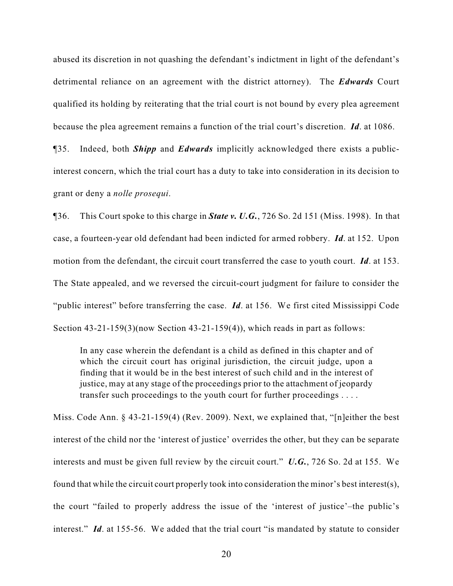abused its discretion in not quashing the defendant's indictment in light of the defendant's detrimental reliance on an agreement with the district attorney). The *Edwards* Court qualified its holding by reiterating that the trial court is not bound by every plea agreement because the plea agreement remains a function of the trial court's discretion. *Id*. at 1086.

¶35. Indeed, both *Shipp* and *Edwards* implicitly acknowledged there exists a publicinterest concern, which the trial court has a duty to take into consideration in its decision to grant or deny a *nolle prosequi*.

¶36. This Court spoke to this charge in *State v. U.G.*, 726 So. 2d 151 (Miss. 1998). In that case, a fourteen-year old defendant had been indicted for armed robbery. *Id*. at 152. Upon motion from the defendant, the circuit court transferred the case to youth court. *Id*. at 153. The State appealed, and we reversed the circuit-court judgment for failure to consider the "public interest" before transferring the case. *Id*. at 156. We first cited Mississippi Code Section  $43-21-159(3)$ (now Section  $43-21-159(4)$ ), which reads in part as follows:

In any case wherein the defendant is a child as defined in this chapter and of which the circuit court has original jurisdiction, the circuit judge, upon a finding that it would be in the best interest of such child and in the interest of justice, may at any stage of the proceedings prior to the attachment of jeopardy transfer such proceedings to the youth court for further proceedings . . . .

Miss. Code Ann. § 43-21-159(4) (Rev. 2009). Next, we explained that, "[n]either the best interest of the child nor the 'interest of justice' overrides the other, but they can be separate interests and must be given full review by the circuit court." *U.G.*, 726 So. 2d at 155. We found that while the circuit court properly took into consideration the minor's best interest(s), the court "failed to properly address the issue of the 'interest of justice'–the public's interest." *Id*. at 155-56. We added that the trial court "is mandated by statute to consider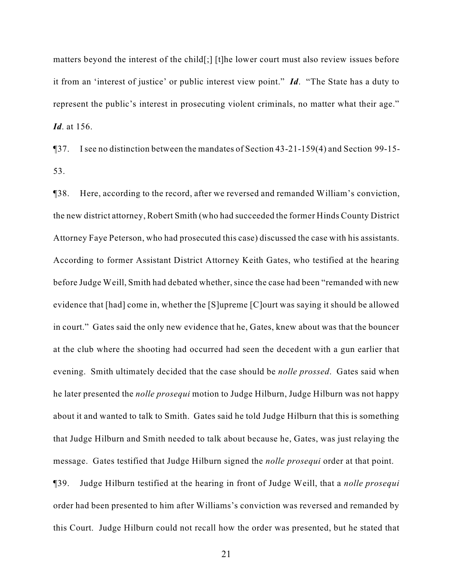matters beyond the interest of the child[;] [t]he lower court must also review issues before it from an 'interest of justice' or public interest view point." *Id*. "The State has a duty to represent the public's interest in prosecuting violent criminals, no matter what their age." *Id*. at 156.

¶37. I see no distinction between the mandates of Section 43-21-159(4) and Section 99-15- 53.

¶38. Here, according to the record, after we reversed and remanded William's conviction, the new district attorney, Robert Smith (who had succeeded the former Hinds County District Attorney Faye Peterson, who had prosecuted this case) discussed the case with his assistants. According to former Assistant District Attorney Keith Gates, who testified at the hearing before Judge Weill, Smith had debated whether, since the case had been "remanded with new evidence that [had] come in, whether the [S]upreme [C]ourt was saying it should be allowed in court." Gates said the only new evidence that he, Gates, knew about was that the bouncer at the club where the shooting had occurred had seen the decedent with a gun earlier that evening. Smith ultimately decided that the case should be *nolle prossed*. Gates said when he later presented the *nolle prosequi* motion to Judge Hilburn, Judge Hilburn was not happy about it and wanted to talk to Smith. Gates said he told Judge Hilburn that this is something that Judge Hilburn and Smith needed to talk about because he, Gates, was just relaying the message. Gates testified that Judge Hilburn signed the *nolle prosequi* order at that point.

¶39. Judge Hilburn testified at the hearing in front of Judge Weill, that a *nolle prosequi* order had been presented to him after Williams's conviction was reversed and remanded by this Court. Judge Hilburn could not recall how the order was presented, but he stated that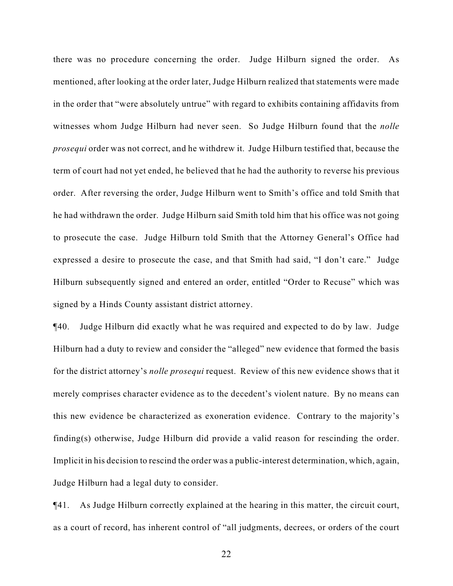there was no procedure concerning the order. Judge Hilburn signed the order. As mentioned, after looking at the order later, Judge Hilburn realized that statements were made in the order that "were absolutely untrue" with regard to exhibits containing affidavits from witnesses whom Judge Hilburn had never seen. So Judge Hilburn found that the *nolle prosequi* order was not correct, and he withdrew it. Judge Hilburn testified that, because the term of court had not yet ended, he believed that he had the authority to reverse his previous order. After reversing the order, Judge Hilburn went to Smith's office and told Smith that he had withdrawn the order. Judge Hilburn said Smith told him that his office was not going to prosecute the case. Judge Hilburn told Smith that the Attorney General's Office had expressed a desire to prosecute the case, and that Smith had said, "I don't care." Judge Hilburn subsequently signed and entered an order, entitled "Order to Recuse" which was signed by a Hinds County assistant district attorney.

¶40. Judge Hilburn did exactly what he was required and expected to do by law. Judge Hilburn had a duty to review and consider the "alleged" new evidence that formed the basis for the district attorney's *nolle prosequi* request. Review of this new evidence shows that it merely comprises character evidence as to the decedent's violent nature. By no means can this new evidence be characterized as exoneration evidence. Contrary to the majority's finding(s) otherwise, Judge Hilburn did provide a valid reason for rescinding the order. Implicit in his decision to rescind the order was a public-interest determination, which, again, Judge Hilburn had a legal duty to consider.

¶41. As Judge Hilburn correctly explained at the hearing in this matter, the circuit court, as a court of record, has inherent control of "all judgments, decrees, or orders of the court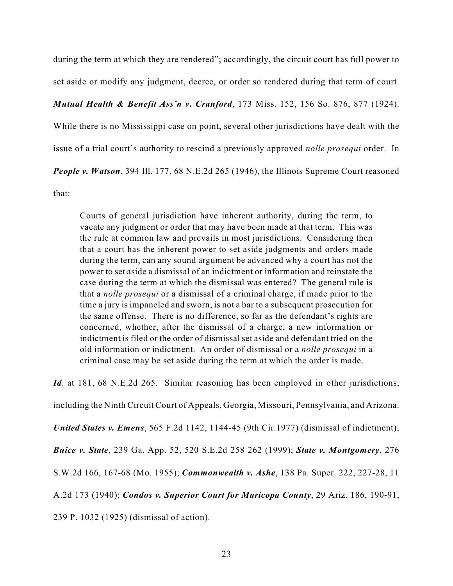during the term at which they are rendered"; accordingly, the circuit court has full power to set aside or modify any judgment, decree, or order so rendered during that term of court.

## *Mutual Health & Benefit Ass'n v. Cranford*, 173 Miss. 152, 156 So. 876, 877 (1924).

While there is no Mississippi case on point, several other jurisdictions have dealt with the

issue of a trial court's authority to rescind a previously approved *nolle prosequi* order. In

*People v. Watson*, 394 Ill. 177, 68 N.E.2d 265 (1946), the Illinois Supreme Court reasoned

that:

Courts of general jurisdiction have inherent authority, during the term, to vacate any judgment or order that may have been made at that term. This was the rule at common law and prevails in most jurisdictions. Considering then that a court has the inherent power to set aside judgments and orders made during the term, can any sound argument be advanced why a court has not the power to set aside a dismissal of an indictment or information and reinstate the case during the term at which the dismissal was entered? The general rule is that a *nolle prosequi* or a dismissal of a criminal charge, if made prior to the time a jury is impaneled and sworn, is not a bar to a subsequent prosecution for the same offense. There is no difference, so far as the defendant's rights are concerned, whether, after the dismissal of a charge, a new information or indictment is filed or the order of dismissal set aside and defendant tried on the old information or indictment. An order of dismissal or a *nolle prosequi* in a criminal case may be set aside during the term at which the order is made.

*Id.* at 181, 68 N.E.2d 265. Similar reasoning has been employed in other jurisdictions,

including the Ninth Circuit Court of Appeals, Georgia, Missouri, Pennsylvania, and Arizona.

*United States v. Emens*, 565 F.2d 1142, 1144-45 (9th Cir.1977) (dismissal of indictment);

*Buice v. State*, 239 Ga. App. 52, 520 S.E.2d 258 262 (1999); *State v. Montgomery*, 276

S.W.2d 166, 167-68 (Mo. 1955); *Commonwealth v. Ashe*, 138 Pa. Super. 222, 227-28, 11

A.2d 173 (1940); *Condos v. Superior Court for Maricopa County*, 29 Ariz. 186, 190-91,

239 P. 1032 (1925) (dismissal of action).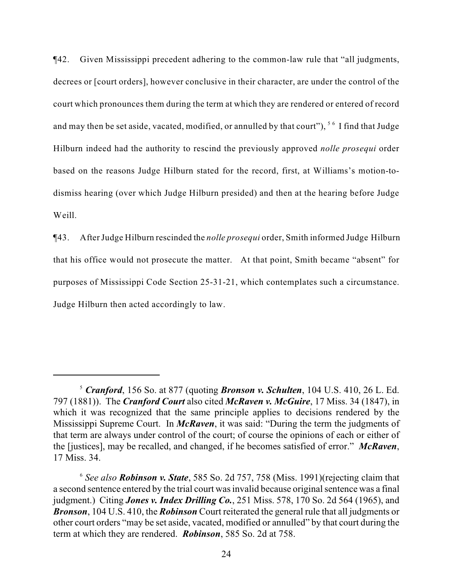¶42. Given Mississippi precedent adhering to the common-law rule that "all judgments, decrees or [court orders], however conclusive in their character, are under the control of the court which pronounces them during the term at which they are rendered or entered of record and may then be set aside, vacated, modified, or annulled by that court"),  $5\degree$  I find that Judge Hilburn indeed had the authority to rescind the previously approved *nolle prosequi* order based on the reasons Judge Hilburn stated for the record, first, at Williams's motion-todismiss hearing (over which Judge Hilburn presided) and then at the hearing before Judge Weill.

¶43. After Judge Hilburn rescinded the *nolle prosequi* order, Smith informed Judge Hilburn that his office would not prosecute the matter. At that point, Smith became "absent" for purposes of Mississippi Code Section 25-31-21, which contemplates such a circumstance. Judge Hilburn then acted accordingly to law.

*Cranford*, 156 So. at 877 (quoting *Bronson v. Schulten*, 104 U.S. 410, 26 L. Ed. <sup>5</sup> 797 (1881)). The *Cranford Court* also cited *McRaven v. McGuire*, 17 Miss. 34 (1847), in which it was recognized that the same principle applies to decisions rendered by the Mississippi Supreme Court. In *McRaven*, it was said: "During the term the judgments of that term are always under control of the court; of course the opinions of each or either of the [justices], may be recalled, and changed, if he becomes satisfied of error." *McRaven*, 17 Miss. 34.

<sup>&</sup>lt;sup>6</sup> See also **Robinson v. State**, 585 So. 2d 757, 758 (Miss. 1991) (rejecting claim that a second sentence entered by the trial court was invalid because original sentence was a final judgment.) Citing *Jones v. Index Drilling Co.*, 251 Miss. 578, 170 So. 2d 564 (1965), and *Bronson*, 104 U.S. 410, the *Robinson* Court reiterated the general rule that all judgments or other court orders "may be set aside, vacated, modified or annulled" by that court during the term at which they are rendered. *Robinson*, 585 So. 2d at 758.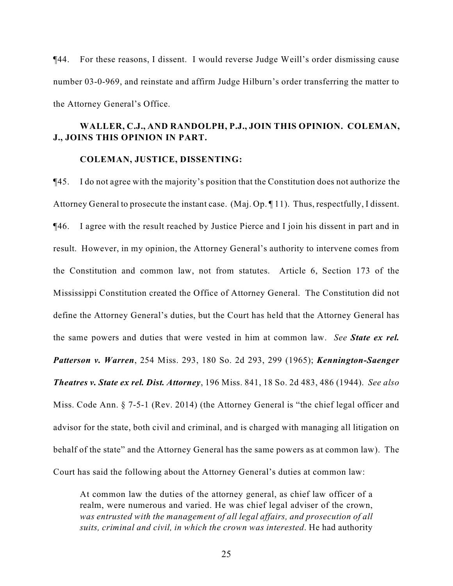¶44. For these reasons, I dissent. I would reverse Judge Weill's order dismissing cause number 03-0-969, and reinstate and affirm Judge Hilburn's order transferring the matter to the Attorney General's Office.

## **WALLER, C.J., AND RANDOLPH, P.J., JOIN THIS OPINION. COLEMAN, J., JOINS THIS OPINION IN PART.**

#### **COLEMAN, JUSTICE, DISSENTING:**

¶45. I do not agree with the majority's position that the Constitution does not authorize the Attorney General to prosecute the instant case. (Maj. Op. ¶ 11). Thus, respectfully, I dissent. ¶46. I agree with the result reached by Justice Pierce and I join his dissent in part and in result. However, in my opinion, the Attorney General's authority to intervene comes from the Constitution and common law, not from statutes. Article 6, Section 173 of the Mississippi Constitution created the Office of Attorney General. The Constitution did not define the Attorney General's duties, but the Court has held that the Attorney General has the same powers and duties that were vested in him at common law. *See State ex rel. Patterson v. Warren*, 254 Miss. 293, 180 So. 2d 293, 299 (1965); *Kennington-Saenger Theatres v. State ex rel. Dist. Attorney*, 196 Miss. 841, 18 So. 2d 483, 486 (1944). *See also* Miss. Code Ann. § 7-5-1 (Rev. 2014) (the Attorney General is "the chief legal officer and advisor for the state, both civil and criminal, and is charged with managing all litigation on behalf of the state" and the Attorney General has the same powers as at common law). The Court has said the following about the Attorney General's duties at common law:

At common law the duties of the attorney general, as chief law officer of a realm, were numerous and varied. He was chief legal adviser of the crown, *was entrusted with the management of all legal affairs, and prosecution of all suits, criminal and civil, in which the crown was interested*. He had authority